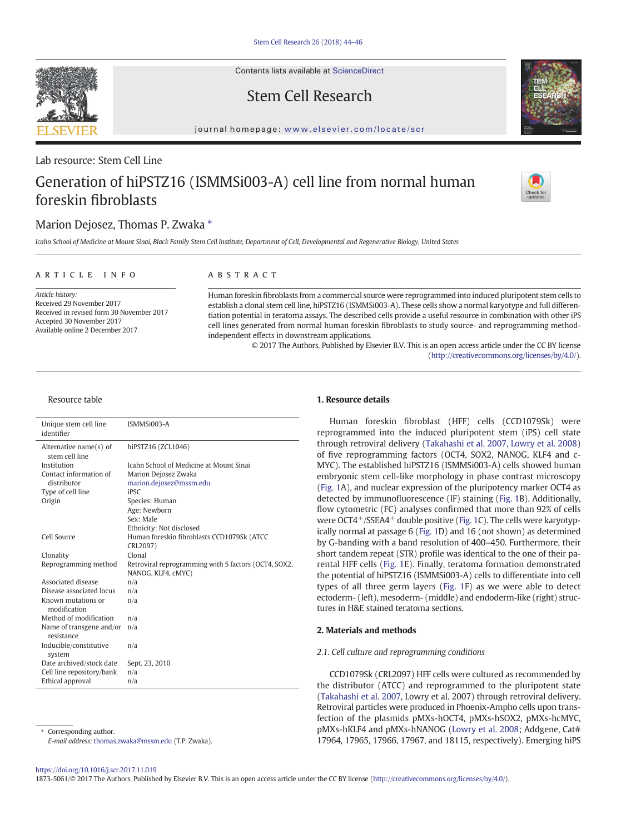Contents lists available at ScienceDirect

# Stem Cell Research



journal homepage: <www.elsevier.com/locate/scr>

## Lab resource: Stem Cell Line

# Generation of hiPSTZ16 (ISMMSi003-A) cell line from normal human foreskin fibroblasts



## Marion Dejosez, Thomas P. Zwaka  $*$

Icahn School of Medicine at Mount Sinai, Black Family Stem Cell Institute, Department of Cell, Developmental and Regenerative Biology, United States

#### article info abstract

Article history: Received 29 November 2017 Received in revised form 30 November 2017 Accepted 30 November 2017 Available online 2 December 2017

Human foreskin fibroblasts from a commercial source were reprogrammed into induced pluripotent stem cells to establish a clonal stem cell line, hiPSTZ16 (ISMMSi003-A). These cells show a normal karyotype and full differentiation potential in teratoma assays. The described cells provide a useful resource in combination with other iPS cell lines generated from normal human foreskin fibroblasts to study source- and reprogramming methodindependent effects in downstream applications.

> © 2017 The Authors. Published by Elsevier B.V. This is an open access article under the CC BY license [\(http://creativecommons.org/licenses/by/4.0/](http://creativecommons.org/licenses/by/4.0/)).

#### Resource table

| Unique stem cell line<br>identifier      | ISMMSi003-A                                          |  |  |
|------------------------------------------|------------------------------------------------------|--|--|
| Alternative name(s) of<br>stem cell line | hiPSTZ16 (ZCL1046)                                   |  |  |
| Institution                              | Icahn School of Medicine at Mount Sinai              |  |  |
| Contact information of                   | Marion Dejosez Zwaka                                 |  |  |
| distributor                              | marion.dejosez@mssm.edu                              |  |  |
| Type of cell line                        | <b>iPSC</b>                                          |  |  |
| Origin                                   | Species: Human                                       |  |  |
|                                          | Age: Newborn                                         |  |  |
|                                          | Sex: Male                                            |  |  |
|                                          | Ethnicity: Not disclosed                             |  |  |
| Cell Source                              | Human foreskin fibroblasts CCD1079Sk (ATCC           |  |  |
|                                          | CRL2097)                                             |  |  |
| Clonality                                | Clonal                                               |  |  |
| Reprogramming method                     | Retroviral reprogramming with 5 factors (OCT4, SOX2, |  |  |
|                                          | NANOG, KLF4, cMYC)                                   |  |  |
| Associated disease                       | n/a                                                  |  |  |
| Disease associated locus                 | n/a                                                  |  |  |
| Known mutations or<br>modification       | n/a                                                  |  |  |
| Method of modification                   | n/a                                                  |  |  |
| Name of transgene and/or<br>resistance   | n/a                                                  |  |  |
| Inducible/constitutive<br>system         | n/a                                                  |  |  |
| Date archived/stock date                 | Sept. 23, 2010                                       |  |  |
| Cell line repository/bank                | n/a                                                  |  |  |
| Ethical approval                         | n/a                                                  |  |  |

Corresponding author. E-mail address: [thomas.zwaka@mssm.edu](mailto:thomas.zwaka@mssm.edu) (T.P. Zwaka).

#### 1. Resource details

Human foreskin fibroblast (HFF) cells (CCD1079Sk) were reprogrammed into the induced pluripotent stem (iPS) cell state through retroviral delivery [\(Takahashi et al. 2007, Lowry et al. 2008](#page-2-0)) of five reprogramming factors (OCT4, SOX2, NANOG, KLF4 and c-MYC). The established hiPSTZ16 (ISMMSi003-A) cells showed human embryonic stem cell-like morphology in phase contrast microscopy [\(Fig. 1](#page-1-0)A), and nuclear expression of the pluripotency marker OCT4 as detected by immunofluorescence (IF) staining [\(Fig. 1](#page-1-0)B). Additionally, flow cytometric (FC) analyses confirmed that more than 92% of cells were OCT4<sup>+</sup>/SSEA4<sup>+</sup> double positive [\(Fig. 1](#page-1-0)C). The cells were karyotypically normal at passage 6 ([Fig. 1](#page-1-0)D) and 16 (not shown) as determined by G-banding with a band resolution of 400–450. Furthermore, their short tandem repeat (STR) profile was identical to the one of their parental HFF cells ([Fig. 1E](#page-1-0)). Finally, teratoma formation demonstrated the potential of hiPSTZ16 (ISMMSi003-A) cells to differentiate into cell types of all three germ layers ([Fig. 1](#page-1-0)F) as we were able to detect ectoderm- (left), mesoderm- (middle) and endoderm-like (right) structures in H&E stained teratoma sections.

#### 2. Materials and methods

#### 2.1. Cell culture and reprogramming conditions

CCD1079Sk (CRL2097) HFF cells were cultured as recommended by the distributor (ATCC) and reprogrammed to the pluripotent state [\(Takahashi et al. 2007](#page-2-0), Lowry et al. 2007) through retroviral delivery. Retroviral particles were produced in Phoenix-Ampho cells upon transfection of the plasmids pMXs-hOCT4, pMXs-hSOX2, pMXs-hcMYC, pMXs-hKLF4 and pMXs-hNANOG [\(Lowry et al. 2008;](#page-2-0) Addgene, Cat# 17964, 17965, 17966, 17967, and 18115, respectively). Emerging hiPS

#### <https://doi.org/10.1016/j.scr.2017.11.019>

1873-5061/© 2017 The Authors. Published by Elsevier B.V. This is an open access article under the CC BY license [\(http://creativecommons.org/licenses/by/4.0/\)](http://creativecommons.org/licenses/by/4.0/).

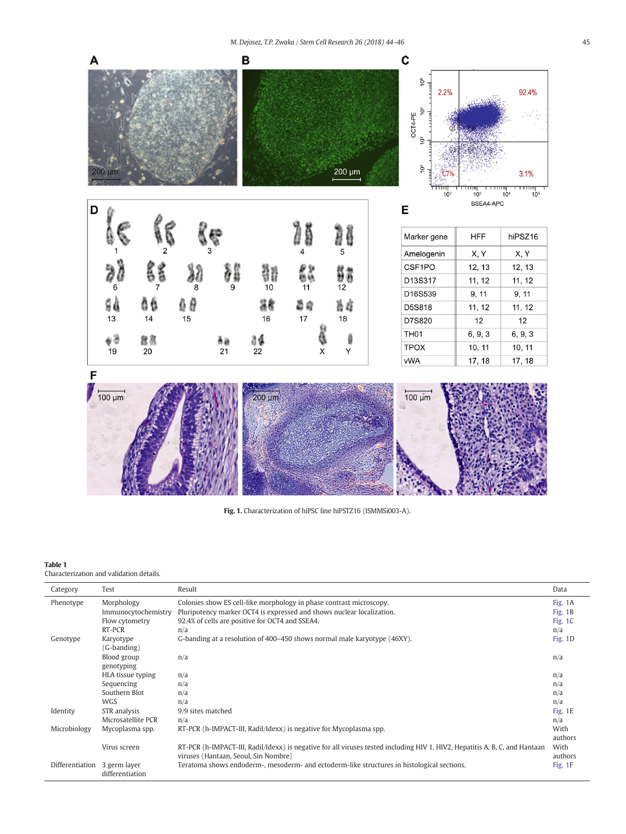<span id="page-1-0"></span>

Fig. 1. Characterization of hiPSC line hiPSTZ16 (ISMMSi003-A).

#### Table 1

### Characterization and validation details.

| Category        | Test                            | Result                                                                                                                      | Data      |
|-----------------|---------------------------------|-----------------------------------------------------------------------------------------------------------------------------|-----------|
| Phenotype       | Morphology                      | Colonies show ES cell-like morphology in phase contrast microscopy.                                                         | Fig. 1A   |
|                 | Immunocytochemistry             | Pluripotency marker OCT4 is expressed and shows nuclear localization.                                                       | Fig. $1B$ |
|                 | Flow cytometry                  | 92.4% of cells are positive for OCT4 and SSEA4.                                                                             | Fig. $1C$ |
|                 | RT-PCR                          | n/a                                                                                                                         | n/a       |
| Genotype        | Karyotype                       | G-banding at a resolution of 400–450 shows normal male karyotype (46XY).                                                    | Fig. 1D   |
|                 | (G-banding)                     |                                                                                                                             |           |
|                 | Blood group                     | n/a                                                                                                                         | n/a       |
|                 | genotyping                      |                                                                                                                             |           |
|                 | HLA tissue typing               | n/a                                                                                                                         | n/a       |
|                 | Sequencing                      | n/a                                                                                                                         | n/a       |
|                 | Southern Blot                   | n/a                                                                                                                         | n/a       |
|                 | <b>WGS</b>                      | n/a                                                                                                                         | n/a       |
| Identity        | STR analysis                    | 9/9 sites matched                                                                                                           | Fig. 1E   |
|                 | Microsatellite PCR              | n/a                                                                                                                         | n/a       |
| Microbiology    | Mycoplasma spp.                 | RT-PCR (h-IMPACT-III, Radil/Idexx) is negative for Mycoplasma spp.                                                          | With      |
|                 |                                 |                                                                                                                             | authors   |
|                 | Virus screen                    | RT-PCR (h-IMPACT-III, Radil/Idexx) is negative for all viruses tested including HIV 1, HIV2, Hepatitis A, B, C, and Hantaan | With      |
|                 |                                 | viruses (Hantaan, Seoul, Sin Nombre)                                                                                        | authors   |
| Differentiation | 3 germ layer<br>differentiation | Teratoma shows endoderm-, mesoderm- and ectoderm-like structures in histological sections.                                  | Fig. 1F   |